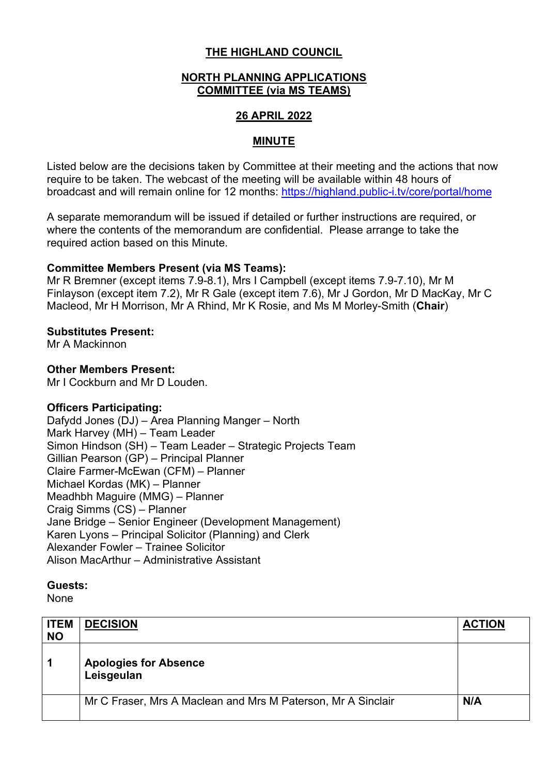# **THE HIGHLAND COUNCIL**

# **NORTH PLANNING APPLICATIONS COMMITTEE (via MS TEAMS)**

# **26 APRIL 2022**

# **MINUTE**

Listed below are the decisions taken by Committee at their meeting and the actions that now require to be taken. The webcast of the meeting will be available within 48 hours of broadcast and will remain online for 12 months: https://highland.public-i.tv/core/portal/home

A separate memorandum will be issued if detailed or further instructions are required, or where the contents of the memorandum are confidential. Please arrange to take the required action based on this Minute.

#### **Committee Members Present (via MS Teams):**

Mr R Bremner (except items 7.9-8.1), Mrs I Campbell (except items 7.9-7.10), Mr M Finlayson (except item 7.2), Mr R Gale (except item 7.6), Mr J Gordon, Mr D MacKay, Mr C Macleod, Mr H Morrison, Mr A Rhind, Mr K Rosie, and Ms M Morley-Smith (**Chair**)

#### **Substitutes Present:**

Mr A Mackinnon

# **Other Members Present:**

Mr I Cockburn and Mr D Louden.

# **Officers Participating:**

Dafydd Jones (DJ) – Area Planning Manger – North Mark Harvey (MH) – Team Leader Simon Hindson (SH) – Team Leader – Strategic Projects Team Gillian Pearson (GP) – Principal Planner Claire Farmer-McEwan (CFM) – Planner Michael Kordas (MK) – Planner Meadhbh Maguire (MMG) – Planner Craig Simms (CS) – Planner Jane Bridge – Senior Engineer (Development Management) Karen Lyons – Principal Solicitor (Planning) and Clerk Alexander Fowler – Trainee Solicitor Alison MacArthur – Administrative Assistant

#### **Guests:**

**None** 

| <b>ITEM</b><br><b>NO</b> | <b>DECISION</b>                                              | <b>ACTION</b> |
|--------------------------|--------------------------------------------------------------|---------------|
| 1                        | <b>Apologies for Absence</b><br>Leisgeulan                   |               |
|                          | Mr C Fraser, Mrs A Maclean and Mrs M Paterson, Mr A Sinclair | N/A           |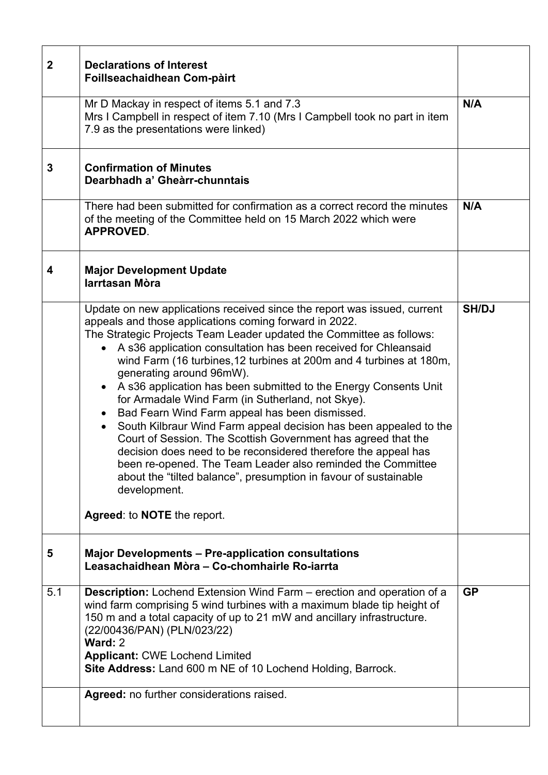| $\mathbf{2}$ | <b>Declarations of Interest</b><br>Foillseachaidhean Com-pàirt                                                                                                                                                                                                                                                                                                                                                                                                                                                                                                                                                                                                                                                                                                                                                                                                                                                                                                                               |              |
|--------------|----------------------------------------------------------------------------------------------------------------------------------------------------------------------------------------------------------------------------------------------------------------------------------------------------------------------------------------------------------------------------------------------------------------------------------------------------------------------------------------------------------------------------------------------------------------------------------------------------------------------------------------------------------------------------------------------------------------------------------------------------------------------------------------------------------------------------------------------------------------------------------------------------------------------------------------------------------------------------------------------|--------------|
|              | Mr D Mackay in respect of items 5.1 and 7.3<br>Mrs I Campbell in respect of item 7.10 (Mrs I Campbell took no part in item<br>7.9 as the presentations were linked)                                                                                                                                                                                                                                                                                                                                                                                                                                                                                                                                                                                                                                                                                                                                                                                                                          | N/A          |
| 3            | <b>Confirmation of Minutes</b><br>Dearbhadh a' Gheàrr-chunntais                                                                                                                                                                                                                                                                                                                                                                                                                                                                                                                                                                                                                                                                                                                                                                                                                                                                                                                              |              |
|              | There had been submitted for confirmation as a correct record the minutes<br>of the meeting of the Committee held on 15 March 2022 which were<br><b>APPROVED.</b>                                                                                                                                                                                                                                                                                                                                                                                                                                                                                                                                                                                                                                                                                                                                                                                                                            | N/A          |
| 4            | <b>Major Development Update</b><br>larrtasan Mòra                                                                                                                                                                                                                                                                                                                                                                                                                                                                                                                                                                                                                                                                                                                                                                                                                                                                                                                                            |              |
|              | Update on new applications received since the report was issued, current<br>appeals and those applications coming forward in 2022.<br>The Strategic Projects Team Leader updated the Committee as follows:<br>A s36 application consultation has been received for Chleansaid<br>$\bullet$<br>wind Farm (16 turbines, 12 turbines at 200m and 4 turbines at 180m,<br>generating around 96mW).<br>A s36 application has been submitted to the Energy Consents Unit<br>$\bullet$<br>for Armadale Wind Farm (in Sutherland, not Skye).<br>Bad Fearn Wind Farm appeal has been dismissed.<br>$\bullet$<br>South Kilbraur Wind Farm appeal decision has been appealed to the<br>Court of Session. The Scottish Government has agreed that the<br>decision does need to be reconsidered therefore the appeal has<br>been re-opened. The Team Leader also reminded the Committee<br>about the "tilted balance", presumption in favour of sustainable<br>development.<br>Agreed: to NOTE the report. | <b>SH/DJ</b> |
| 5            | <b>Major Developments – Pre-application consultations</b><br>Leasachaidhean Mòra - Co-chomhairle Ro-iarrta                                                                                                                                                                                                                                                                                                                                                                                                                                                                                                                                                                                                                                                                                                                                                                                                                                                                                   |              |
| 5.1          | <b>Description:</b> Lochend Extension Wind Farm – erection and operation of a<br>wind farm comprising 5 wind turbines with a maximum blade tip height of<br>150 m and a total capacity of up to 21 mW and ancillary infrastructure.<br>(22/00436/PAN) (PLN/023/22)<br>Ward: 2<br><b>Applicant: CWE Lochend Limited</b><br>Site Address: Land 600 m NE of 10 Lochend Holding, Barrock.                                                                                                                                                                                                                                                                                                                                                                                                                                                                                                                                                                                                        | <b>GP</b>    |
|              | Agreed: no further considerations raised.                                                                                                                                                                                                                                                                                                                                                                                                                                                                                                                                                                                                                                                                                                                                                                                                                                                                                                                                                    |              |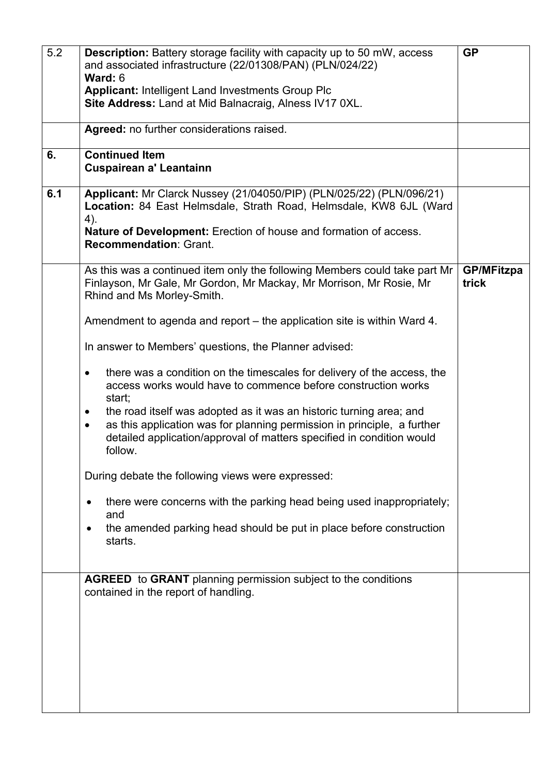| 5.2 | <b>Description:</b> Battery storage facility with capacity up to 50 mW, access<br>and associated infrastructure (22/01308/PAN) (PLN/024/22)                                                                                                                  | <b>GP</b>                  |
|-----|--------------------------------------------------------------------------------------------------------------------------------------------------------------------------------------------------------------------------------------------------------------|----------------------------|
|     | Ward: 6                                                                                                                                                                                                                                                      |                            |
|     | <b>Applicant: Intelligent Land Investments Group Plc</b>                                                                                                                                                                                                     |                            |
|     | Site Address: Land at Mid Balnacraig, Alness IV17 0XL.                                                                                                                                                                                                       |                            |
|     | Agreed: no further considerations raised.                                                                                                                                                                                                                    |                            |
| 6.  | <b>Continued Item</b><br><b>Cuspairean a' Leantainn</b>                                                                                                                                                                                                      |                            |
| 6.1 | Applicant: Mr Clarck Nussey (21/04050/PIP) (PLN/025/22) (PLN/096/21)<br>Location: 84 East Helmsdale, Strath Road, Helmsdale, KW8 6JL (Ward<br>4).                                                                                                            |                            |
|     | Nature of Development: Erection of house and formation of access.<br><b>Recommendation: Grant.</b>                                                                                                                                                           |                            |
|     | As this was a continued item only the following Members could take part Mr<br>Finlayson, Mr Gale, Mr Gordon, Mr Mackay, Mr Morrison, Mr Rosie, Mr<br>Rhind and Ms Morley-Smith.                                                                              | <b>GP/MFitzpa</b><br>trick |
|     | Amendment to agenda and report – the application site is within Ward 4.                                                                                                                                                                                      |                            |
|     | In answer to Members' questions, the Planner advised:                                                                                                                                                                                                        |                            |
|     | there was a condition on the timescales for delivery of the access, the<br>٠<br>access works would have to commence before construction works<br>start;                                                                                                      |                            |
|     | the road itself was adopted as it was an historic turning area; and<br>$\bullet$<br>as this application was for planning permission in principle, a further<br>$\bullet$<br>detailed application/approval of matters specified in condition would<br>follow. |                            |
|     | During debate the following views were expressed:                                                                                                                                                                                                            |                            |
|     | there were concerns with the parking head being used inappropriately;<br>٠<br>and                                                                                                                                                                            |                            |
|     | the amended parking head should be put in place before construction<br>٠<br>starts.                                                                                                                                                                          |                            |
|     | <b>AGREED</b> to GRANT planning permission subject to the conditions<br>contained in the report of handling.                                                                                                                                                 |                            |
|     |                                                                                                                                                                                                                                                              |                            |
|     |                                                                                                                                                                                                                                                              |                            |
|     |                                                                                                                                                                                                                                                              |                            |
|     |                                                                                                                                                                                                                                                              |                            |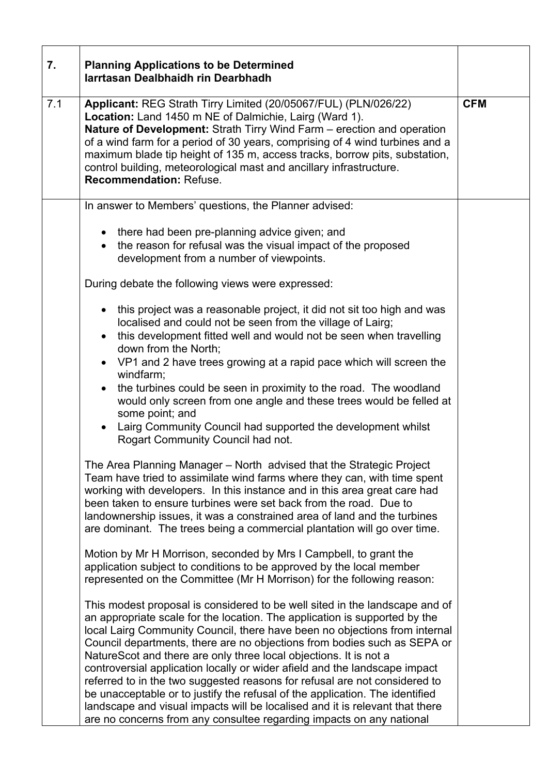| 7.  | <b>Planning Applications to be Determined</b><br>Iarrtasan Dealbhaidh rin Dearbhadh                                                                                                                                                                                                                                                                                                                                                                                                                                                                                                                                                                                                                                                                                                                                                                                                                                          |            |
|-----|------------------------------------------------------------------------------------------------------------------------------------------------------------------------------------------------------------------------------------------------------------------------------------------------------------------------------------------------------------------------------------------------------------------------------------------------------------------------------------------------------------------------------------------------------------------------------------------------------------------------------------------------------------------------------------------------------------------------------------------------------------------------------------------------------------------------------------------------------------------------------------------------------------------------------|------------|
| 7.1 | Applicant: REG Strath Tirry Limited (20/05067/FUL) (PLN/026/22)<br>Location: Land 1450 m NE of Dalmichie, Lairg (Ward 1).<br><b>Nature of Development:</b> Strath Tirry Wind Farm – erection and operation<br>of a wind farm for a period of 30 years, comprising of 4 wind turbines and a<br>maximum blade tip height of 135 m, access tracks, borrow pits, substation,<br>control building, meteorological mast and ancillary infrastructure.<br><b>Recommendation: Refuse.</b>                                                                                                                                                                                                                                                                                                                                                                                                                                            | <b>CFM</b> |
|     | In answer to Members' questions, the Planner advised:                                                                                                                                                                                                                                                                                                                                                                                                                                                                                                                                                                                                                                                                                                                                                                                                                                                                        |            |
|     | • there had been pre-planning advice given; and<br>• the reason for refusal was the visual impact of the proposed<br>development from a number of viewpoints.                                                                                                                                                                                                                                                                                                                                                                                                                                                                                                                                                                                                                                                                                                                                                                |            |
|     | During debate the following views were expressed:                                                                                                                                                                                                                                                                                                                                                                                                                                                                                                                                                                                                                                                                                                                                                                                                                                                                            |            |
|     | • this project was a reasonable project, it did not sit too high and was<br>localised and could not be seen from the village of Lairg;<br>this development fitted well and would not be seen when travelling<br>down from the North;<br>• VP1 and 2 have trees growing at a rapid pace which will screen the<br>windfarm;<br>the turbines could be seen in proximity to the road. The woodland<br>$\bullet$<br>would only screen from one angle and these trees would be felled at<br>some point; and<br>Lairg Community Council had supported the development whilst<br>$\bullet$<br>Rogart Community Council had not.                                                                                                                                                                                                                                                                                                      |            |
|     | The Area Planning Manager – North advised that the Strategic Project<br>Team have tried to assimilate wind farms where they can, with time spent<br>working with developers. In this instance and in this area great care had<br>been taken to ensure turbines were set back from the road. Due to<br>landownership issues, it was a constrained area of land and the turbines<br>are dominant. The trees being a commercial plantation will go over time.<br>Motion by Mr H Morrison, seconded by Mrs I Campbell, to grant the<br>application subject to conditions to be approved by the local member<br>represented on the Committee (Mr H Morrison) for the following reason:<br>This modest proposal is considered to be well sited in the landscape and of<br>an appropriate scale for the location. The application is supported by the<br>local Lairg Community Council, there have been no objections from internal |            |
|     | Council departments, there are no objections from bodies such as SEPA or<br>NatureScot and there are only three local objections. It is not a<br>controversial application locally or wider afield and the landscape impact<br>referred to in the two suggested reasons for refusal are not considered to<br>be unacceptable or to justify the refusal of the application. The identified<br>landscape and visual impacts will be localised and it is relevant that there<br>are no concerns from any consultee regarding impacts on any national                                                                                                                                                                                                                                                                                                                                                                            |            |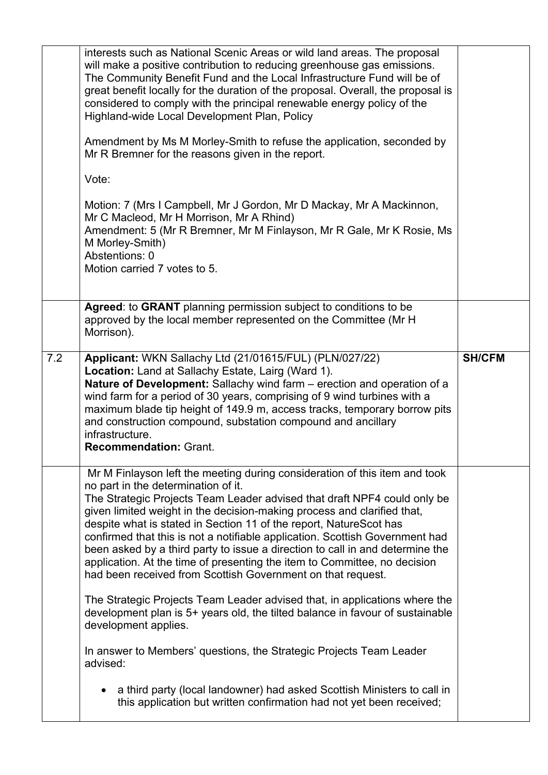|     | interests such as National Scenic Areas or wild land areas. The proposal<br>will make a positive contribution to reducing greenhouse gas emissions.<br>The Community Benefit Fund and the Local Infrastructure Fund will be of<br>great benefit locally for the duration of the proposal. Overall, the proposal is<br>considered to comply with the principal renewable energy policy of the<br>Highland-wide Local Development Plan, Policy<br>Amendment by Ms M Morley-Smith to refuse the application, seconded by<br>Mr R Bremner for the reasons given in the report.<br>Vote:<br>Motion: 7 (Mrs I Campbell, Mr J Gordon, Mr D Mackay, Mr A Mackinnon,<br>Mr C Macleod, Mr H Morrison, Mr A Rhind)<br>Amendment: 5 (Mr R Bremner, Mr M Finlayson, Mr R Gale, Mr K Rosie, Ms<br>M Morley-Smith)<br>Abstentions: 0<br>Motion carried 7 votes to 5. |               |
|-----|-------------------------------------------------------------------------------------------------------------------------------------------------------------------------------------------------------------------------------------------------------------------------------------------------------------------------------------------------------------------------------------------------------------------------------------------------------------------------------------------------------------------------------------------------------------------------------------------------------------------------------------------------------------------------------------------------------------------------------------------------------------------------------------------------------------------------------------------------------|---------------|
|     | Agreed: to GRANT planning permission subject to conditions to be<br>approved by the local member represented on the Committee (Mr H)<br>Morrison).                                                                                                                                                                                                                                                                                                                                                                                                                                                                                                                                                                                                                                                                                                    |               |
| 7.2 | Applicant: WKN Sallachy Ltd (21/01615/FUL) (PLN/027/22)<br>Location: Land at Sallachy Estate, Lairg (Ward 1).<br>Nature of Development: Sallachy wind farm - erection and operation of a<br>wind farm for a period of 30 years, comprising of 9 wind turbines with a<br>maximum blade tip height of 149.9 m, access tracks, temporary borrow pits<br>and construction compound, substation compound and ancillary<br>infrastructure.<br><b>Recommendation: Grant.</b>                                                                                                                                                                                                                                                                                                                                                                                 | <b>SH/CFM</b> |
|     | Mr M Finlayson left the meeting during consideration of this item and took<br>no part in the determination of it.<br>The Strategic Projects Team Leader advised that draft NPF4 could only be<br>given limited weight in the decision-making process and clarified that,<br>despite what is stated in Section 11 of the report, NatureScot has<br>confirmed that this is not a notifiable application. Scottish Government had<br>been asked by a third party to issue a direction to call in and determine the<br>application. At the time of presenting the item to Committee, no decision<br>had been received from Scottish Government on that request.                                                                                                                                                                                           |               |
|     | The Strategic Projects Team Leader advised that, in applications where the<br>development plan is 5+ years old, the tilted balance in favour of sustainable<br>development applies.                                                                                                                                                                                                                                                                                                                                                                                                                                                                                                                                                                                                                                                                   |               |
|     | In answer to Members' questions, the Strategic Projects Team Leader<br>advised:                                                                                                                                                                                                                                                                                                                                                                                                                                                                                                                                                                                                                                                                                                                                                                       |               |
|     | a third party (local landowner) had asked Scottish Ministers to call in<br>$\bullet$                                                                                                                                                                                                                                                                                                                                                                                                                                                                                                                                                                                                                                                                                                                                                                  |               |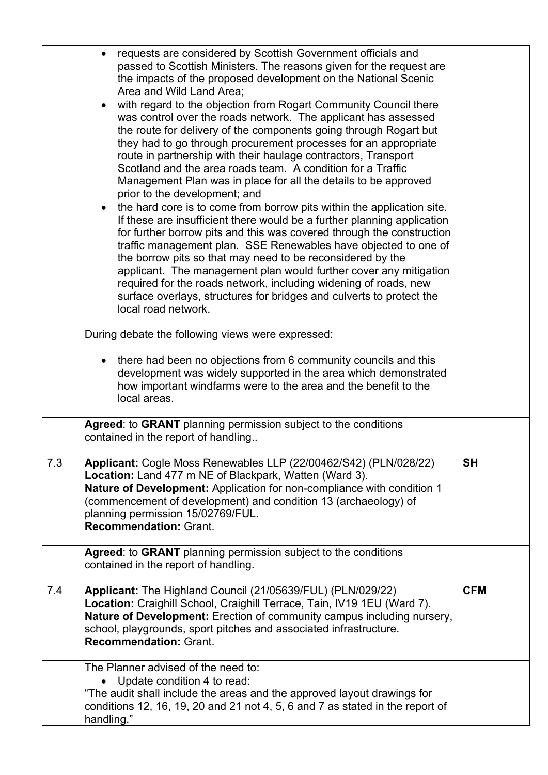|     | requests are considered by Scottish Government officials and<br>$\bullet$<br>passed to Scottish Ministers. The reasons given for the request are<br>the impacts of the proposed development on the National Scenic<br>Area and Wild Land Area;<br>with regard to the objection from Rogart Community Council there<br>was control over the roads network. The applicant has assessed<br>the route for delivery of the components going through Rogart but<br>they had to go through procurement processes for an appropriate<br>route in partnership with their haulage contractors, Transport<br>Scotland and the area roads team. A condition for a Traffic<br>Management Plan was in place for all the details to be approved<br>prior to the development; and<br>the hard core is to come from borrow pits within the application site.<br>$\bullet$<br>If these are insufficient there would be a further planning application<br>for further borrow pits and this was covered through the construction<br>traffic management plan. SSE Renewables have objected to one of<br>the borrow pits so that may need to be reconsidered by the<br>applicant. The management plan would further cover any mitigation<br>required for the roads network, including widening of roads, new<br>surface overlays, structures for bridges and culverts to protect the<br>local road network.<br>During debate the following views were expressed:<br>• there had been no objections from 6 community councils and this<br>development was widely supported in the area which demonstrated<br>how important windfarms were to the area and the benefit to the<br>local areas. |            |
|-----|-----------------------------------------------------------------------------------------------------------------------------------------------------------------------------------------------------------------------------------------------------------------------------------------------------------------------------------------------------------------------------------------------------------------------------------------------------------------------------------------------------------------------------------------------------------------------------------------------------------------------------------------------------------------------------------------------------------------------------------------------------------------------------------------------------------------------------------------------------------------------------------------------------------------------------------------------------------------------------------------------------------------------------------------------------------------------------------------------------------------------------------------------------------------------------------------------------------------------------------------------------------------------------------------------------------------------------------------------------------------------------------------------------------------------------------------------------------------------------------------------------------------------------------------------------------------------------------------------------------------------------------------------------------------------|------------|
|     | Agreed: to GRANT planning permission subject to the conditions<br>contained in the report of handling                                                                                                                                                                                                                                                                                                                                                                                                                                                                                                                                                                                                                                                                                                                                                                                                                                                                                                                                                                                                                                                                                                                                                                                                                                                                                                                                                                                                                                                                                                                                                                 |            |
| 7.3 | Applicant: Cogle Moss Renewables LLP (22/00462/S42) (PLN/028/22)<br>Location: Land 477 m NE of Blackpark, Watten (Ward 3).<br>Nature of Development: Application for non-compliance with condition 1<br>(commencement of development) and condition 13 (archaeology) of<br>planning permission 15/02769/FUL.<br><b>Recommendation: Grant.</b>                                                                                                                                                                                                                                                                                                                                                                                                                                                                                                                                                                                                                                                                                                                                                                                                                                                                                                                                                                                                                                                                                                                                                                                                                                                                                                                         | <b>SH</b>  |
|     | Agreed: to GRANT planning permission subject to the conditions<br>contained in the report of handling.                                                                                                                                                                                                                                                                                                                                                                                                                                                                                                                                                                                                                                                                                                                                                                                                                                                                                                                                                                                                                                                                                                                                                                                                                                                                                                                                                                                                                                                                                                                                                                |            |
| 7.4 | Applicant: The Highland Council (21/05639/FUL) (PLN/029/22)<br>Location: Craighill School, Craighill Terrace, Tain, IV19 1EU (Ward 7).<br>Nature of Development: Erection of community campus including nursery,<br>school, playgrounds, sport pitches and associated infrastructure.<br><b>Recommendation: Grant.</b>                                                                                                                                                                                                                                                                                                                                                                                                                                                                                                                                                                                                                                                                                                                                                                                                                                                                                                                                                                                                                                                                                                                                                                                                                                                                                                                                                | <b>CFM</b> |
|     | The Planner advised of the need to:<br>Update condition 4 to read:<br>"The audit shall include the areas and the approved layout drawings for<br>conditions 12, 16, 19, 20 and 21 not 4, 5, 6 and 7 as stated in the report of<br>handling."                                                                                                                                                                                                                                                                                                                                                                                                                                                                                                                                                                                                                                                                                                                                                                                                                                                                                                                                                                                                                                                                                                                                                                                                                                                                                                                                                                                                                          |            |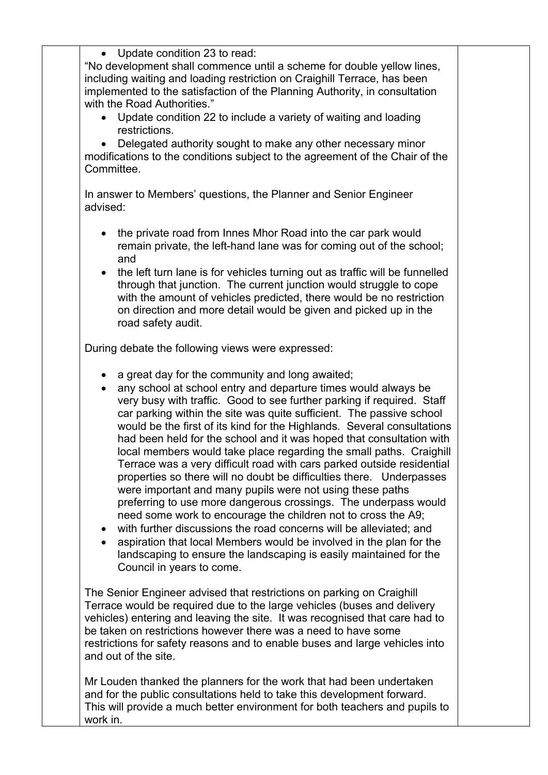|                        | • Update condition 23 to read:<br>"No development shall commence until a scheme for double yellow lines,<br>including waiting and loading restriction on Craighill Terrace, has been<br>implemented to the satisfaction of the Planning Authority, in consultation<br>with the Road Authorities."<br>Update condition 22 to include a variety of waiting and loading<br>restrictions.<br>Delegated authority sought to make any other necessary minor<br>modifications to the conditions subject to the agreement of the Chair of the                                                                                                                                                                                                                                                                                                                                                                                                                                                                                                                                                            |  |
|------------------------|--------------------------------------------------------------------------------------------------------------------------------------------------------------------------------------------------------------------------------------------------------------------------------------------------------------------------------------------------------------------------------------------------------------------------------------------------------------------------------------------------------------------------------------------------------------------------------------------------------------------------------------------------------------------------------------------------------------------------------------------------------------------------------------------------------------------------------------------------------------------------------------------------------------------------------------------------------------------------------------------------------------------------------------------------------------------------------------------------|--|
| Committee.             |                                                                                                                                                                                                                                                                                                                                                                                                                                                                                                                                                                                                                                                                                                                                                                                                                                                                                                                                                                                                                                                                                                  |  |
| advised:               | In answer to Members' questions, the Planner and Senior Engineer                                                                                                                                                                                                                                                                                                                                                                                                                                                                                                                                                                                                                                                                                                                                                                                                                                                                                                                                                                                                                                 |  |
| $\bullet$              | the private road from Innes Mhor Road into the car park would<br>remain private, the left-hand lane was for coming out of the school;<br>and<br>the left turn lane is for vehicles turning out as traffic will be funnelled<br>through that junction. The current junction would struggle to cope<br>with the amount of vehicles predicted, there would be no restriction<br>on direction and more detail would be given and picked up in the<br>road safety audit.                                                                                                                                                                                                                                                                                                                                                                                                                                                                                                                                                                                                                              |  |
|                        | During debate the following views were expressed:                                                                                                                                                                                                                                                                                                                                                                                                                                                                                                                                                                                                                                                                                                                                                                                                                                                                                                                                                                                                                                                |  |
| $\bullet$<br>$\bullet$ | a great day for the community and long awaited;<br>any school at school entry and departure times would always be<br>very busy with traffic. Good to see further parking if required. Staff<br>car parking within the site was quite sufficient. The passive school<br>would be the first of its kind for the Highlands. Several consultations<br>had been held for the school and it was hoped that consultation with<br>local members would take place regarding the small paths. Craighill<br>Terrace was a very difficult road with cars parked outside residential<br>properties so there will no doubt be difficulties there. Underpasses<br>were important and many pupils were not using these paths<br>preferring to use more dangerous crossings. The underpass would<br>need some work to encourage the children not to cross the A9;<br>with further discussions the road concerns will be alleviated; and<br>aspiration that local Members would be involved in the plan for the<br>landscaping to ensure the landscaping is easily maintained for the<br>Council in years to come. |  |
|                        | The Senior Engineer advised that restrictions on parking on Craighill<br>Terrace would be required due to the large vehicles (buses and delivery<br>vehicles) entering and leaving the site. It was recognised that care had to<br>be taken on restrictions however there was a need to have some<br>restrictions for safety reasons and to enable buses and large vehicles into<br>and out of the site.                                                                                                                                                                                                                                                                                                                                                                                                                                                                                                                                                                                                                                                                                         |  |
|                        | Mr Louden thanked the planners for the work that had been undertaken<br>and for the public consultations held to take this development forward.<br>This will provide a much better environment for both teachers and pupils to                                                                                                                                                                                                                                                                                                                                                                                                                                                                                                                                                                                                                                                                                                                                                                                                                                                                   |  |

work in.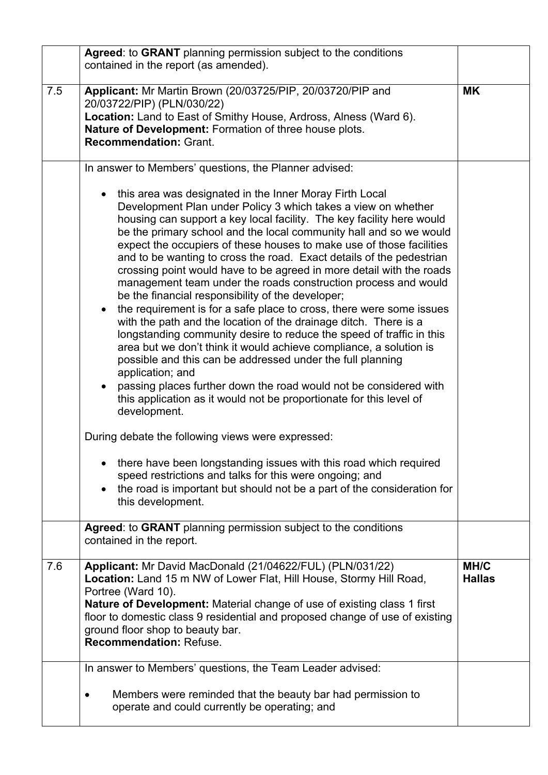|     | Agreed: to GRANT planning permission subject to the conditions<br>contained in the report (as amended).                                                                                                                                                                                                                                                                                                                                                                                                                                                                                                                                                                                                                                                                                                                                                                                                                                                                                                                                                                                                                                                                                                                                                                                                                         |                       |
|-----|---------------------------------------------------------------------------------------------------------------------------------------------------------------------------------------------------------------------------------------------------------------------------------------------------------------------------------------------------------------------------------------------------------------------------------------------------------------------------------------------------------------------------------------------------------------------------------------------------------------------------------------------------------------------------------------------------------------------------------------------------------------------------------------------------------------------------------------------------------------------------------------------------------------------------------------------------------------------------------------------------------------------------------------------------------------------------------------------------------------------------------------------------------------------------------------------------------------------------------------------------------------------------------------------------------------------------------|-----------------------|
| 7.5 | Applicant: Mr Martin Brown (20/03725/PIP, 20/03720/PIP and<br>20/03722/PIP) (PLN/030/22)<br>Location: Land to East of Smithy House, Ardross, Alness (Ward 6).<br>Nature of Development: Formation of three house plots.<br><b>Recommendation: Grant.</b>                                                                                                                                                                                                                                                                                                                                                                                                                                                                                                                                                                                                                                                                                                                                                                                                                                                                                                                                                                                                                                                                        | <b>MK</b>             |
|     | In answer to Members' questions, the Planner advised:                                                                                                                                                                                                                                                                                                                                                                                                                                                                                                                                                                                                                                                                                                                                                                                                                                                                                                                                                                                                                                                                                                                                                                                                                                                                           |                       |
|     | this area was designated in the Inner Moray Firth Local<br>$\bullet$<br>Development Plan under Policy 3 which takes a view on whether<br>housing can support a key local facility. The key facility here would<br>be the primary school and the local community hall and so we would<br>expect the occupiers of these houses to make use of those facilities<br>and to be wanting to cross the road. Exact details of the pedestrian<br>crossing point would have to be agreed in more detail with the roads<br>management team under the roads construction process and would<br>be the financial responsibility of the developer;<br>the requirement is for a safe place to cross, there were some issues<br>$\bullet$<br>with the path and the location of the drainage ditch. There is a<br>longstanding community desire to reduce the speed of traffic in this<br>area but we don't think it would achieve compliance, a solution is<br>possible and this can be addressed under the full planning<br>application; and<br>passing places further down the road would not be considered with<br>$\bullet$<br>this application as it would not be proportionate for this level of<br>development.<br>During debate the following views were expressed:<br>there have been longstanding issues with this road which required |                       |
|     | speed restrictions and talks for this were ongoing; and<br>the road is important but should not be a part of the consideration for<br>$\bullet$<br>this development.                                                                                                                                                                                                                                                                                                                                                                                                                                                                                                                                                                                                                                                                                                                                                                                                                                                                                                                                                                                                                                                                                                                                                            |                       |
|     | Agreed: to GRANT planning permission subject to the conditions<br>contained in the report.                                                                                                                                                                                                                                                                                                                                                                                                                                                                                                                                                                                                                                                                                                                                                                                                                                                                                                                                                                                                                                                                                                                                                                                                                                      |                       |
| 7.6 | Applicant: Mr David MacDonald (21/04622/FUL) (PLN/031/22)<br>Location: Land 15 m NW of Lower Flat, Hill House, Stormy Hill Road,<br>Portree (Ward 10).<br><b>Nature of Development:</b> Material change of use of existing class 1 first<br>floor to domestic class 9 residential and proposed change of use of existing<br>ground floor shop to beauty bar.<br><b>Recommendation: Refuse.</b>                                                                                                                                                                                                                                                                                                                                                                                                                                                                                                                                                                                                                                                                                                                                                                                                                                                                                                                                  | MH/C<br><b>Hallas</b> |
|     | In answer to Members' questions, the Team Leader advised:<br>Members were reminded that the beauty bar had permission to<br>operate and could currently be operating; and                                                                                                                                                                                                                                                                                                                                                                                                                                                                                                                                                                                                                                                                                                                                                                                                                                                                                                                                                                                                                                                                                                                                                       |                       |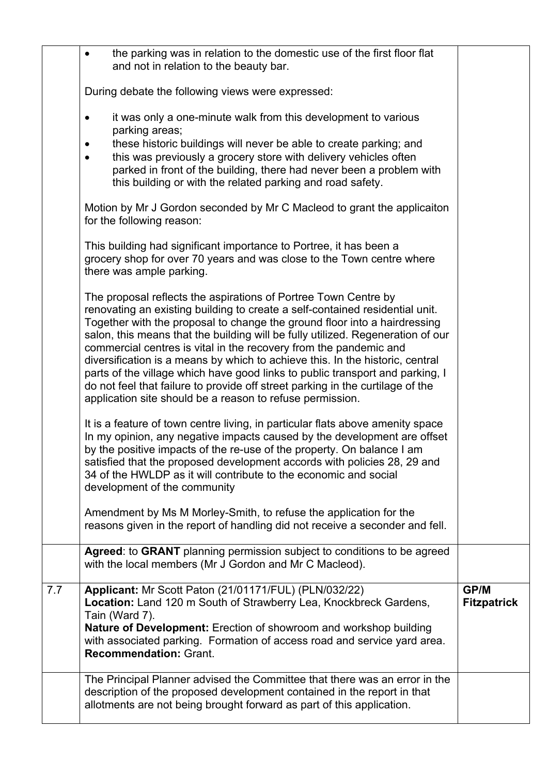|     | the parking was in relation to the domestic use of the first floor flat<br>and not in relation to the beauty bar.                                                                                                                                                                                                                                                                                                                                                                                                                                                                                                                                                                                     |                                   |
|-----|-------------------------------------------------------------------------------------------------------------------------------------------------------------------------------------------------------------------------------------------------------------------------------------------------------------------------------------------------------------------------------------------------------------------------------------------------------------------------------------------------------------------------------------------------------------------------------------------------------------------------------------------------------------------------------------------------------|-----------------------------------|
|     | During debate the following views were expressed:                                                                                                                                                                                                                                                                                                                                                                                                                                                                                                                                                                                                                                                     |                                   |
|     | it was only a one-minute walk from this development to various<br>٠<br>parking areas;<br>these historic buildings will never be able to create parking; and<br>this was previously a grocery store with delivery vehicles often<br>parked in front of the building, there had never been a problem with<br>this building or with the related parking and road safety.                                                                                                                                                                                                                                                                                                                                 |                                   |
|     | Motion by Mr J Gordon seconded by Mr C Macleod to grant the applicaiton<br>for the following reason:                                                                                                                                                                                                                                                                                                                                                                                                                                                                                                                                                                                                  |                                   |
|     | This building had significant importance to Portree, it has been a<br>grocery shop for over 70 years and was close to the Town centre where<br>there was ample parking.                                                                                                                                                                                                                                                                                                                                                                                                                                                                                                                               |                                   |
|     | The proposal reflects the aspirations of Portree Town Centre by<br>renovating an existing building to create a self-contained residential unit.<br>Together with the proposal to change the ground floor into a hairdressing<br>salon, this means that the building will be fully utilized. Regeneration of our<br>commercial centres is vital in the recovery from the pandemic and<br>diversification is a means by which to achieve this. In the historic, central<br>parts of the village which have good links to public transport and parking, I<br>do not feel that failure to provide off street parking in the curtilage of the<br>application site should be a reason to refuse permission. |                                   |
|     | It is a feature of town centre living, in particular flats above amenity space<br>In my opinion, any negative impacts caused by the development are offset<br>by the positive impacts of the re-use of the property. On balance I am<br>satisfied that the proposed development accords with policies 28, 29 and<br>34 of the HWLDP as it will contribute to the economic and social<br>development of the community<br>Amendment by Ms M Morley-Smith, to refuse the application for the                                                                                                                                                                                                             |                                   |
|     | reasons given in the report of handling did not receive a seconder and fell.                                                                                                                                                                                                                                                                                                                                                                                                                                                                                                                                                                                                                          |                                   |
|     | Agreed: to GRANT planning permission subject to conditions to be agreed<br>with the local members (Mr J Gordon and Mr C Macleod).                                                                                                                                                                                                                                                                                                                                                                                                                                                                                                                                                                     |                                   |
| 7.7 | Applicant: Mr Scott Paton (21/01171/FUL) (PLN/032/22)<br>Location: Land 120 m South of Strawberry Lea, Knockbreck Gardens,<br>Tain (Ward 7).<br><b>Nature of Development:</b> Erection of showroom and workshop building<br>with associated parking. Formation of access road and service yard area.<br><b>Recommendation: Grant.</b>                                                                                                                                                                                                                                                                                                                                                                 | <b>GP/M</b><br><b>Fitzpatrick</b> |
|     | The Principal Planner advised the Committee that there was an error in the<br>description of the proposed development contained in the report in that<br>allotments are not being brought forward as part of this application.                                                                                                                                                                                                                                                                                                                                                                                                                                                                        |                                   |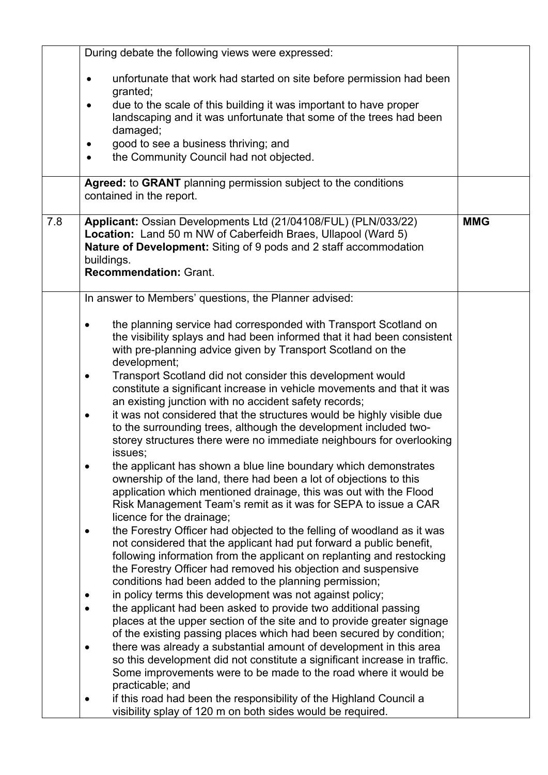|     | During debate the following views were expressed:                                                                                   |            |
|-----|-------------------------------------------------------------------------------------------------------------------------------------|------------|
|     |                                                                                                                                     |            |
|     | unfortunate that work had started on site before permission had been                                                                |            |
|     | granted;                                                                                                                            |            |
|     | due to the scale of this building it was important to have proper<br>٠                                                              |            |
|     | landscaping and it was unfortunate that some of the trees had been<br>damaged;                                                      |            |
|     | good to see a business thriving; and                                                                                                |            |
|     | the Community Council had not objected.                                                                                             |            |
|     |                                                                                                                                     |            |
|     | Agreed: to GRANT planning permission subject to the conditions                                                                      |            |
|     | contained in the report.                                                                                                            |            |
|     |                                                                                                                                     |            |
| 7.8 | Applicant: Ossian Developments Ltd (21/04108/FUL) (PLN/033/22)                                                                      | <b>MMG</b> |
|     | Location: Land 50 m NW of Caberfeidh Braes, Ullapool (Ward 5)                                                                       |            |
|     | Nature of Development: Siting of 9 pods and 2 staff accommodation                                                                   |            |
|     | buildings.                                                                                                                          |            |
|     | <b>Recommendation: Grant.</b>                                                                                                       |            |
|     | In answer to Members' questions, the Planner advised:                                                                               |            |
|     |                                                                                                                                     |            |
|     | the planning service had corresponded with Transport Scotland on<br>$\bullet$                                                       |            |
|     | the visibility splays and had been informed that it had been consistent                                                             |            |
|     | with pre-planning advice given by Transport Scotland on the                                                                         |            |
|     | development;                                                                                                                        |            |
|     | Transport Scotland did not consider this development would                                                                          |            |
|     | constitute a significant increase in vehicle movements and that it was                                                              |            |
|     | an existing junction with no accident safety records;                                                                               |            |
|     | it was not considered that the structures would be highly visible due<br>$\bullet$                                                  |            |
|     | to the surrounding trees, although the development included two-                                                                    |            |
|     | storey structures there were no immediate neighbours for overlooking                                                                |            |
|     | issues;                                                                                                                             |            |
|     | the applicant has shown a blue line boundary which demonstrates                                                                     |            |
|     | ownership of the land, there had been a lot of objections to this                                                                   |            |
|     | application which mentioned drainage, this was out with the Flood<br>Risk Management Team's remit as it was for SEPA to issue a CAR |            |
|     | licence for the drainage;                                                                                                           |            |
|     | the Forestry Officer had objected to the felling of woodland as it was                                                              |            |
|     | not considered that the applicant had put forward a public benefit,                                                                 |            |
|     | following information from the applicant on replanting and restocking                                                               |            |
|     | the Forestry Officer had removed his objection and suspensive                                                                       |            |
|     | conditions had been added to the planning permission;                                                                               |            |
|     | in policy terms this development was not against policy;                                                                            |            |
|     | the applicant had been asked to provide two additional passing                                                                      |            |
|     | places at the upper section of the site and to provide greater signage                                                              |            |
|     | of the existing passing places which had been secured by condition;                                                                 |            |
|     | there was already a substantial amount of development in this area                                                                  |            |
|     | so this development did not constitute a significant increase in traffic.                                                           |            |
|     | Some improvements were to be made to the road where it would be                                                                     |            |
|     | practicable; and                                                                                                                    |            |
|     | if this road had been the responsibility of the Highland Council a                                                                  |            |
|     | visibility splay of 120 m on both sides would be required.                                                                          |            |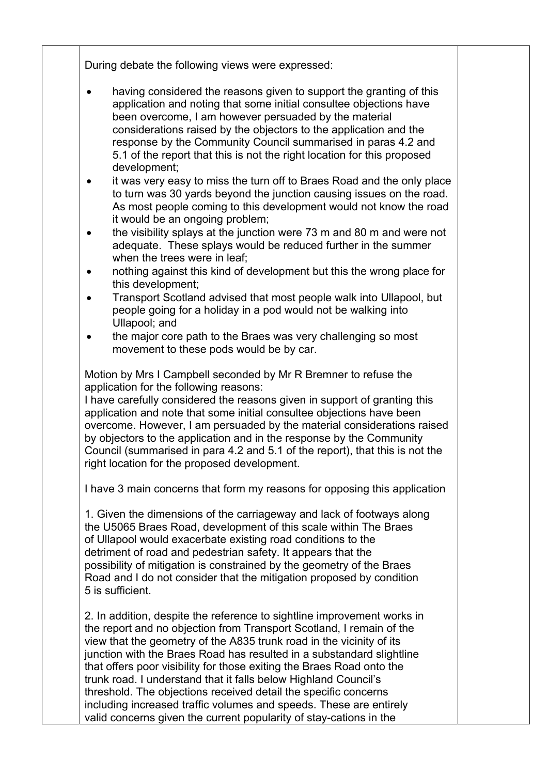During debate the following views were expressed:

- having considered the reasons given to support the granting of this application and noting that some initial consultee objections have been overcome, I am however persuaded by the material considerations raised by the objectors to the application and the response by the Community Council summarised in paras 4.2 and 5.1 of the report that this is not the right location for this proposed development;
- it was very easy to miss the turn off to Braes Road and the only place to turn was 30 yards beyond the junction causing issues on the road. As most people coming to this development would not know the road it would be an ongoing problem;
- the visibility splays at the junction were 73 m and 80 m and were not adequate. These splays would be reduced further in the summer when the trees were in leaf:
- nothing against this kind of development but this the wrong place for this development;
- Transport Scotland advised that most people walk into Ullapool, but people going for a holiday in a pod would not be walking into Ullapool; and
- the major core path to the Braes was very challenging so most movement to these pods would be by car.

Motion by Mrs I Campbell seconded by Mr R Bremner to refuse the application for the following reasons:

I have carefully considered the reasons given in support of granting this application and note that some initial consultee objections have been overcome. However, I am persuaded by the material considerations raised by objectors to the application and in the response by the Community Council (summarised in para 4.2 and 5.1 of the report), that this is not the right location for the proposed development.

I have 3 main concerns that form my reasons for opposing this application

1. Given the dimensions of the carriageway and lack of footways along the U5065 Braes Road, development of this scale within The Braes of Ullapool would exacerbate existing road conditions to the detriment of road and pedestrian safety. It appears that the possibility of mitigation is constrained by the geometry of the Braes Road and I do not consider that the mitigation proposed by condition 5 is sufficient.

2. In addition, despite the reference to sightline improvement works in the report and no objection from Transport Scotland, I remain of the view that the geometry of the A835 trunk road in the vicinity of its junction with the Braes Road has resulted in a substandard slightline that offers poor visibility for those exiting the Braes Road onto the trunk road. I understand that it falls below Highland Council's threshold. The objections received detail the specific concerns including increased traffic volumes and speeds. These are entirely valid concerns given the current popularity of stay-cations in the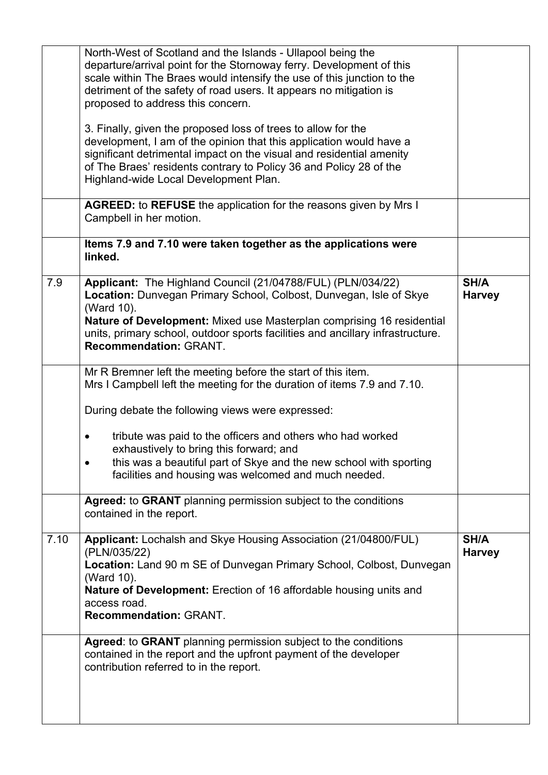|      | North-West of Scotland and the Islands - Ullapool being the<br>departure/arrival point for the Stornoway ferry. Development of this<br>scale within The Braes would intensify the use of this junction to the<br>detriment of the safety of road users. It appears no mitigation is<br>proposed to address this concern.                    |                       |
|------|---------------------------------------------------------------------------------------------------------------------------------------------------------------------------------------------------------------------------------------------------------------------------------------------------------------------------------------------|-----------------------|
|      | 3. Finally, given the proposed loss of trees to allow for the<br>development, I am of the opinion that this application would have a<br>significant detrimental impact on the visual and residential amenity<br>of The Braes' residents contrary to Policy 36 and Policy 28 of the<br>Highland-wide Local Development Plan.                 |                       |
|      | <b>AGREED:</b> to REFUSE the application for the reasons given by Mrs I<br>Campbell in her motion.                                                                                                                                                                                                                                          |                       |
|      | Items 7.9 and 7.10 were taken together as the applications were<br>linked.                                                                                                                                                                                                                                                                  |                       |
| 7.9  | Applicant: The Highland Council (21/04788/FUL) (PLN/034/22)<br>Location: Dunvegan Primary School, Colbost, Dunvegan, Isle of Skye<br>(Ward 10).<br>Nature of Development: Mixed use Masterplan comprising 16 residential<br>units, primary school, outdoor sports facilities and ancillary infrastructure.<br><b>Recommendation: GRANT.</b> | SH/A<br><b>Harvey</b> |
|      | Mr R Bremner left the meeting before the start of this item.<br>Mrs I Campbell left the meeting for the duration of items 7.9 and 7.10.                                                                                                                                                                                                     |                       |
|      | During debate the following views were expressed:                                                                                                                                                                                                                                                                                           |                       |
|      | tribute was paid to the officers and others who had worked<br>exhaustively to bring this forward; and<br>this was a beautiful part of Skye and the new school with sporting<br>$\bullet$<br>facilities and housing was welcomed and much needed.                                                                                            |                       |
|      | Agreed: to GRANT planning permission subject to the conditions<br>contained in the report.                                                                                                                                                                                                                                                  |                       |
| 7.10 | Applicant: Lochalsh and Skye Housing Association (21/04800/FUL)<br>(PLN/035/22)<br>Location: Land 90 m SE of Dunvegan Primary School, Colbost, Dunvegan<br>(Ward 10).<br><b>Nature of Development:</b> Erection of 16 affordable housing units and<br>access road.<br><b>Recommendation: GRANT.</b>                                         | SH/A<br><b>Harvey</b> |
|      | <b>Agreed: to GRANT</b> planning permission subject to the conditions<br>contained in the report and the upfront payment of the developer<br>contribution referred to in the report.                                                                                                                                                        |                       |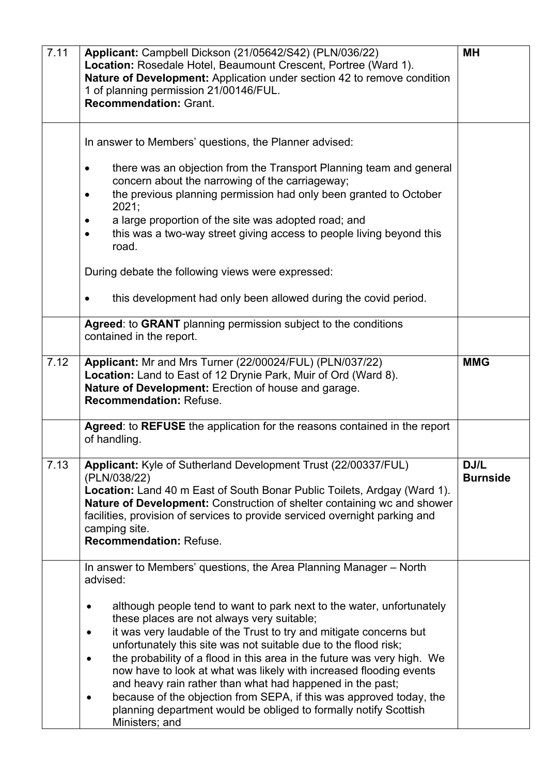| 7.11 | Applicant: Campbell Dickson (21/05642/S42) (PLN/036/22)<br>Location: Rosedale Hotel, Beaumount Crescent, Portree (Ward 1).<br>Nature of Development: Application under section 42 to remove condition<br>1 of planning permission 21/00146/FUL.<br><b>Recommendation: Grant.</b>                                                                                                                                                                                                                                                                                                                                                                                                                                                                                      | <b>MH</b>               |
|------|-----------------------------------------------------------------------------------------------------------------------------------------------------------------------------------------------------------------------------------------------------------------------------------------------------------------------------------------------------------------------------------------------------------------------------------------------------------------------------------------------------------------------------------------------------------------------------------------------------------------------------------------------------------------------------------------------------------------------------------------------------------------------|-------------------------|
|      | In answer to Members' questions, the Planner advised:<br>there was an objection from the Transport Planning team and general<br>concern about the narrowing of the carriageway;<br>the previous planning permission had only been granted to October<br>2021;<br>a large proportion of the site was adopted road; and<br>this was a two-way street giving access to people living beyond this<br>road.<br>During debate the following views were expressed:<br>this development had only been allowed during the covid period.                                                                                                                                                                                                                                        |                         |
|      | Agreed: to GRANT planning permission subject to the conditions<br>contained in the report.                                                                                                                                                                                                                                                                                                                                                                                                                                                                                                                                                                                                                                                                            |                         |
| 7.12 | Applicant: Mr and Mrs Turner (22/00024/FUL) (PLN/037/22)<br>Location: Land to East of 12 Drynie Park, Muir of Ord (Ward 8).<br>Nature of Development: Erection of house and garage.<br><b>Recommendation: Refuse.</b>                                                                                                                                                                                                                                                                                                                                                                                                                                                                                                                                                 | <b>MMG</b>              |
|      | Agreed: to REFUSE the application for the reasons contained in the report<br>of handling.                                                                                                                                                                                                                                                                                                                                                                                                                                                                                                                                                                                                                                                                             |                         |
| 7.13 | Applicant: Kyle of Sutherland Development Trust (22/00337/FUL)<br>(PLN/038/22)<br><b>Location:</b> Land 40 m East of South Bonar Public Toilets, Ardgay (Ward 1).<br><b>Nature of Development:</b> Construction of shelter containing wc and shower<br>facilities, provision of services to provide serviced overnight parking and<br>camping site.<br><b>Recommendation: Refuse.</b>                                                                                                                                                                                                                                                                                                                                                                                 | DJ/L<br><b>Burnside</b> |
|      | In answer to Members' questions, the Area Planning Manager – North<br>advised:<br>although people tend to want to park next to the water, unfortunately<br>٠<br>these places are not always very suitable;<br>it was very laudable of the Trust to try and mitigate concerns but<br>$\bullet$<br>unfortunately this site was not suitable due to the flood risk;<br>the probability of a flood in this area in the future was very high. We<br>$\bullet$<br>now have to look at what was likely with increased flooding events<br>and heavy rain rather than what had happened in the past;<br>because of the objection from SEPA, if this was approved today, the<br>$\bullet$<br>planning department would be obliged to formally notify Scottish<br>Ministers; and |                         |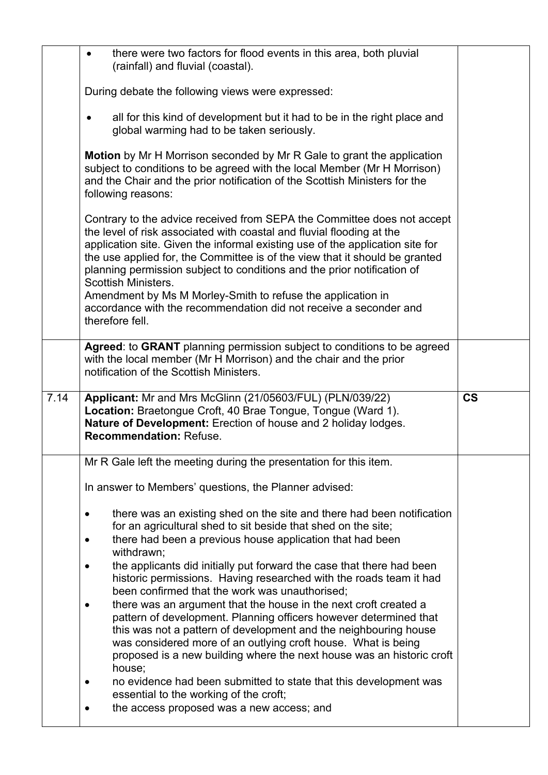|      | there were two factors for flood events in this area, both pluvial<br>$\bullet$<br>(rainfall) and fluvial (coastal).                                                                                                                                                                                                                                                                                                                                                                     |                          |
|------|------------------------------------------------------------------------------------------------------------------------------------------------------------------------------------------------------------------------------------------------------------------------------------------------------------------------------------------------------------------------------------------------------------------------------------------------------------------------------------------|--------------------------|
|      | During debate the following views were expressed:                                                                                                                                                                                                                                                                                                                                                                                                                                        |                          |
|      | all for this kind of development but it had to be in the right place and<br>$\bullet$<br>global warming had to be taken seriously.                                                                                                                                                                                                                                                                                                                                                       |                          |
|      | <b>Motion</b> by Mr H Morrison seconded by Mr R Gale to grant the application<br>subject to conditions to be agreed with the local Member (Mr H Morrison)<br>and the Chair and the prior notification of the Scottish Ministers for the<br>following reasons:                                                                                                                                                                                                                            |                          |
|      | Contrary to the advice received from SEPA the Committee does not accept<br>the level of risk associated with coastal and fluvial flooding at the<br>application site. Given the informal existing use of the application site for<br>the use applied for, the Committee is of the view that it should be granted<br>planning permission subject to conditions and the prior notification of<br><b>Scottish Ministers.</b><br>Amendment by Ms M Morley-Smith to refuse the application in |                          |
|      | accordance with the recommendation did not receive a seconder and<br>therefore fell.                                                                                                                                                                                                                                                                                                                                                                                                     |                          |
|      | Agreed: to GRANT planning permission subject to conditions to be agreed<br>with the local member (Mr H Morrison) and the chair and the prior<br>notification of the Scottish Ministers.                                                                                                                                                                                                                                                                                                  |                          |
|      |                                                                                                                                                                                                                                                                                                                                                                                                                                                                                          |                          |
| 7.14 | Applicant: Mr and Mrs McGlinn (21/05603/FUL) (PLN/039/22)<br>Location: Braetongue Croft, 40 Brae Tongue, Tongue (Ward 1).<br>Nature of Development: Erection of house and 2 holiday lodges.<br><b>Recommendation: Refuse.</b>                                                                                                                                                                                                                                                            | $\mathsf{CS}\phantom{0}$ |
|      | Mr R Gale left the meeting during the presentation for this item.                                                                                                                                                                                                                                                                                                                                                                                                                        |                          |
|      | In answer to Members' questions, the Planner advised:                                                                                                                                                                                                                                                                                                                                                                                                                                    |                          |
|      | there was an existing shed on the site and there had been notification                                                                                                                                                                                                                                                                                                                                                                                                                   |                          |
|      | for an agricultural shed to sit beside that shed on the site;<br>there had been a previous house application that had been                                                                                                                                                                                                                                                                                                                                                               |                          |
|      | withdrawn;<br>the applicants did initially put forward the case that there had been<br>$\bullet$<br>historic permissions. Having researched with the roads team it had<br>been confirmed that the work was unauthorised;                                                                                                                                                                                                                                                                 |                          |
|      | there was an argument that the house in the next croft created a<br>pattern of development. Planning officers however determined that<br>this was not a pattern of development and the neighbouring house<br>was considered more of an outlying croft house. What is being<br>proposed is a new building where the next house was an historic croft<br>house;                                                                                                                            |                          |
|      | no evidence had been submitted to state that this development was<br>$\bullet$<br>essential to the working of the croft;<br>the access proposed was a new access; and                                                                                                                                                                                                                                                                                                                    |                          |